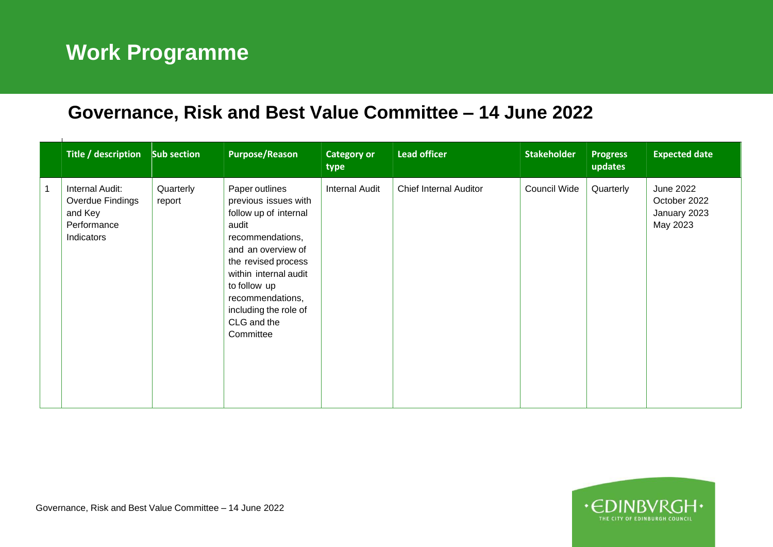## **Work Programme**

 $\mathbf{I}$ 

## **Governance, Risk and Best Value Committee – 14 June 2022**

| Title / description Sub section                                                                    | <b>Purpose/Reason</b>                                                                                                                                                                                                                                       | <b>Category or</b><br>type | <b>Lead officer</b>           | <b>Stakeholder</b> | <b>Progress</b><br>updates | <b>Expected date</b>                                         |
|----------------------------------------------------------------------------------------------------|-------------------------------------------------------------------------------------------------------------------------------------------------------------------------------------------------------------------------------------------------------------|----------------------------|-------------------------------|--------------------|----------------------------|--------------------------------------------------------------|
| Internal Audit:<br>Quarterly<br>Overdue Findings<br>report<br>and Key<br>Performance<br>Indicators | Paper outlines<br>previous issues with<br>follow up of internal<br>audit<br>recommendations,<br>and an overview of<br>the revised process<br>within internal audit<br>to follow up<br>recommendations,<br>including the role of<br>CLG and the<br>Committee | <b>Internal Audit</b>      | <b>Chief Internal Auditor</b> | Council Wide       | Quarterly                  | <b>June 2022</b><br>October 2022<br>January 2023<br>May 2023 |

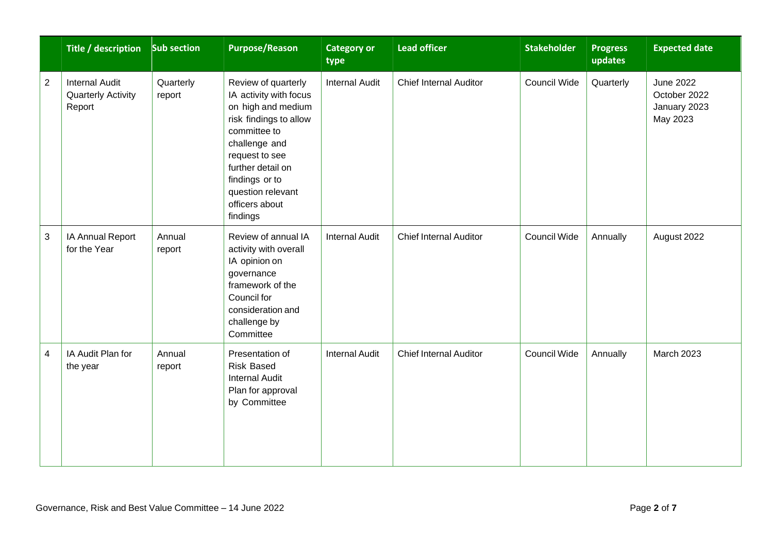|                | Title / description Sub section                              |                     | <b>Purpose/Reason</b>                                                                                                                                                                                                                      | <b>Category or</b><br>type | <b>Lead officer</b>           | <b>Stakeholder</b>  | <b>Progress</b><br>updates | <b>Expected date</b>                                  |
|----------------|--------------------------------------------------------------|---------------------|--------------------------------------------------------------------------------------------------------------------------------------------------------------------------------------------------------------------------------------------|----------------------------|-------------------------------|---------------------|----------------------------|-------------------------------------------------------|
| $\overline{2}$ | <b>Internal Audit</b><br><b>Quarterly Activity</b><br>Report | Quarterly<br>report | Review of quarterly<br>IA activity with focus<br>on high and medium<br>risk findings to allow<br>committee to<br>challenge and<br>request to see<br>further detail on<br>findings or to<br>question relevant<br>officers about<br>findings | <b>Internal Audit</b>      | Chief Internal Auditor        | <b>Council Wide</b> | Quarterly                  | June 2022<br>October 2022<br>January 2023<br>May 2023 |
| 3              | IA Annual Report<br>for the Year                             | Annual<br>report    | Review of annual IA<br>activity with overall<br>IA opinion on<br>governance<br>framework of the<br>Council for<br>consideration and<br>challenge by<br>Committee                                                                           | <b>Internal Audit</b>      | <b>Chief Internal Auditor</b> | Council Wide        | Annually                   | August 2022                                           |
| 4              | IA Audit Plan for<br>the year                                | Annual<br>report    | Presentation of<br><b>Risk Based</b><br><b>Internal Audit</b><br>Plan for approval<br>by Committee                                                                                                                                         | <b>Internal Audit</b>      | <b>Chief Internal Auditor</b> | Council Wide        | Annually                   | March 2023                                            |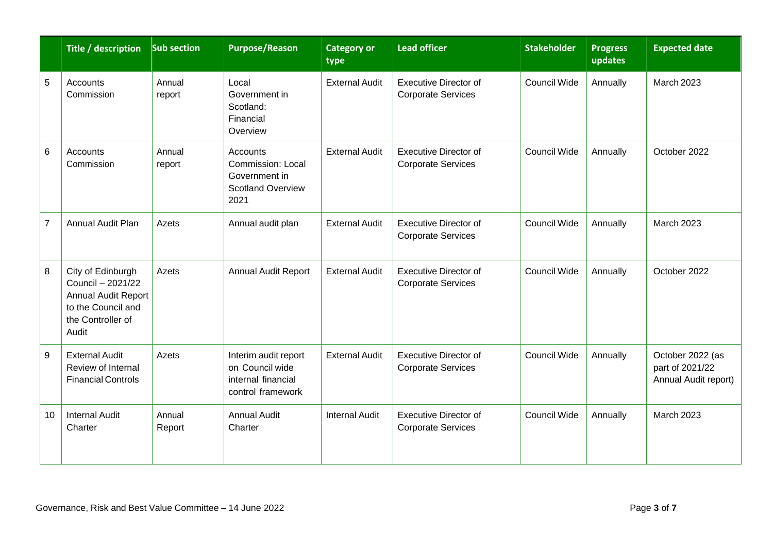|                | Title / description Sub section                                                                                   |                  | <b>Purpose/Reason</b>                                                                     | <b>Category or</b><br>type | <b>Lead officer</b>                                       | <b>Stakeholder</b>  | <b>Progress</b><br>updates | <b>Expected date</b>                                        |
|----------------|-------------------------------------------------------------------------------------------------------------------|------------------|-------------------------------------------------------------------------------------------|----------------------------|-----------------------------------------------------------|---------------------|----------------------------|-------------------------------------------------------------|
| 5              | Accounts<br>Commission                                                                                            | Annual<br>report | Local<br>Government in<br>Scotland:<br>Financial<br>Overview                              | <b>External Audit</b>      | Executive Director of<br><b>Corporate Services</b>        | Council Wide        | Annually                   | <b>March 2023</b>                                           |
| 6              | Accounts<br>Commission                                                                                            | Annual<br>report | <b>Accounts</b><br>Commission: Local<br>Government in<br><b>Scotland Overview</b><br>2021 | <b>External Audit</b>      | <b>Executive Director of</b><br><b>Corporate Services</b> | <b>Council Wide</b> | Annually                   | October 2022                                                |
| $\overline{7}$ | <b>Annual Audit Plan</b>                                                                                          | Azets            | Annual audit plan                                                                         | <b>External Audit</b>      | <b>Executive Director of</b><br><b>Corporate Services</b> | <b>Council Wide</b> | Annually                   | March 2023                                                  |
| 8              | City of Edinburgh<br>Council - 2021/22<br>Annual Audit Report<br>to the Council and<br>the Controller of<br>Audit | Azets            | Annual Audit Report                                                                       | <b>External Audit</b>      | <b>Executive Director of</b><br><b>Corporate Services</b> | <b>Council Wide</b> | Annually                   | October 2022                                                |
| 9              | <b>External Audit</b><br>Review of Internal<br><b>Financial Controls</b>                                          | Azets            | Interim audit report<br>on Council wide<br>internal financial<br>control framework        | <b>External Audit</b>      | <b>Executive Director of</b><br><b>Corporate Services</b> | <b>Council Wide</b> | Annually                   | October 2022 (as<br>part of 2021/22<br>Annual Audit report) |
| 10             | <b>Internal Audit</b><br>Charter                                                                                  | Annual<br>Report | <b>Annual Audit</b><br>Charter                                                            | <b>Internal Audit</b>      | <b>Executive Director of</b><br><b>Corporate Services</b> | <b>Council Wide</b> | Annually                   | <b>March 2023</b>                                           |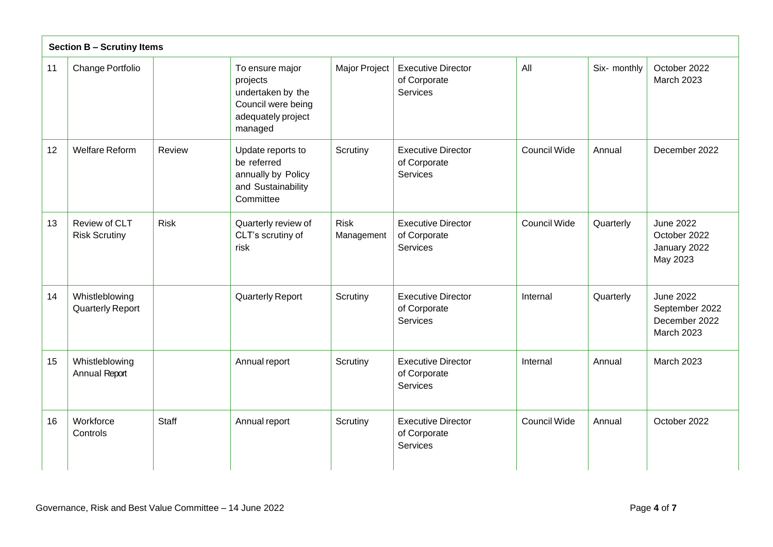|    | <b>Section B - Scrutiny Items</b>                    |                                                                                                         |                           |                                                       |                     |              |                                                              |  |
|----|------------------------------------------------------|---------------------------------------------------------------------------------------------------------|---------------------------|-------------------------------------------------------|---------------------|--------------|--------------------------------------------------------------|--|
| 11 | Change Portfolio                                     | To ensure major<br>projects<br>undertaken by the<br>Council were being<br>adequately project<br>managed | Major Project             | <b>Executive Director</b><br>of Corporate<br>Services | All                 | Six- monthly | October 2022<br>March 2023                                   |  |
| 12 | <b>Welfare Reform</b><br>Review                      | Update reports to<br>be referred<br>annually by Policy<br>and Sustainability<br>Committee               | Scrutiny                  | <b>Executive Director</b><br>of Corporate<br>Services | <b>Council Wide</b> | Annual       | December 2022                                                |  |
| 13 | Review of CLT<br><b>Risk</b><br><b>Risk Scrutiny</b> | Quarterly review of<br>CLT's scrutiny of<br>risk                                                        | <b>Risk</b><br>Management | <b>Executive Director</b><br>of Corporate<br>Services | <b>Council Wide</b> | Quarterly    | <b>June 2022</b><br>October 2022<br>January 2022<br>May 2023 |  |
| 14 | Whistleblowing<br><b>Quarterly Report</b>            | Quarterly Report                                                                                        | Scrutiny                  | <b>Executive Director</b><br>of Corporate<br>Services | Internal            | Quarterly    | June 2022<br>September 2022<br>December 2022<br>March 2023   |  |
| 15 | Whistleblowing<br>Annual Report                      | Annual report                                                                                           | Scrutiny                  | <b>Executive Director</b><br>of Corporate<br>Services | Internal            | Annual       | <b>March 2023</b>                                            |  |
| 16 | Workforce<br><b>Staff</b><br>Controls                | Annual report                                                                                           | Scrutiny                  | <b>Executive Director</b><br>of Corporate<br>Services | <b>Council Wide</b> | Annual       | October 2022                                                 |  |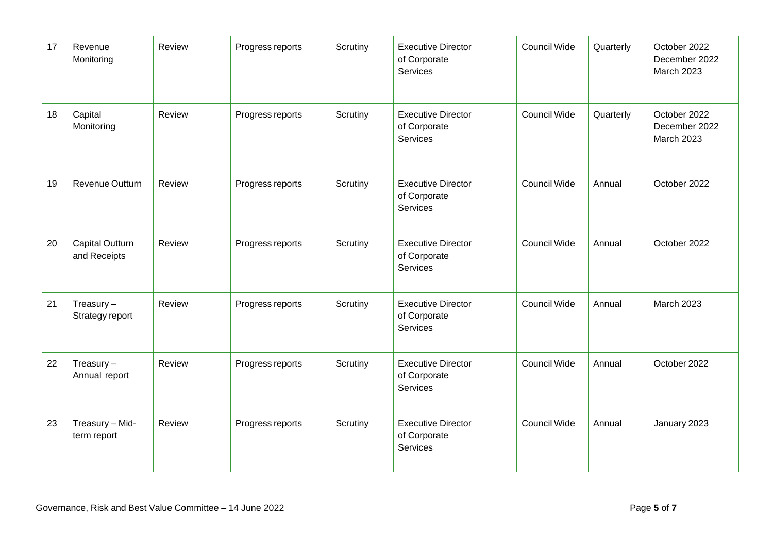| 17 | Revenue<br>Monitoring                  | Review | Progress reports | Scrutiny | <b>Executive Director</b><br>of Corporate<br>Services        | Council Wide        | Quarterly | October 2022<br>December 2022<br><b>March 2023</b> |
|----|----------------------------------------|--------|------------------|----------|--------------------------------------------------------------|---------------------|-----------|----------------------------------------------------|
| 18 | Capital<br>Monitoring                  | Review | Progress reports | Scrutiny | <b>Executive Director</b><br>of Corporate<br>Services        | <b>Council Wide</b> | Quarterly | October 2022<br>December 2022<br><b>March 2023</b> |
| 19 | Revenue Outturn                        | Review | Progress reports | Scrutiny | <b>Executive Director</b><br>of Corporate<br><b>Services</b> | Council Wide        | Annual    | October 2022                                       |
| 20 | <b>Capital Outturn</b><br>and Receipts | Review | Progress reports | Scrutiny | <b>Executive Director</b><br>of Corporate<br>Services        | Council Wide        | Annual    | October 2022                                       |
| 21 | $T$ reasury $-$<br>Strategy report     | Review | Progress reports | Scrutiny | <b>Executive Director</b><br>of Corporate<br>Services        | <b>Council Wide</b> | Annual    | <b>March 2023</b>                                  |
| 22 | Treasury $-$<br>Annual report          | Review | Progress reports | Scrutiny | <b>Executive Director</b><br>of Corporate<br>Services        | Council Wide        | Annual    | October 2022                                       |
| 23 | Treasury - Mid-<br>term report         | Review | Progress reports | Scrutiny | <b>Executive Director</b><br>of Corporate<br>Services        | <b>Council Wide</b> | Annual    | January 2023                                       |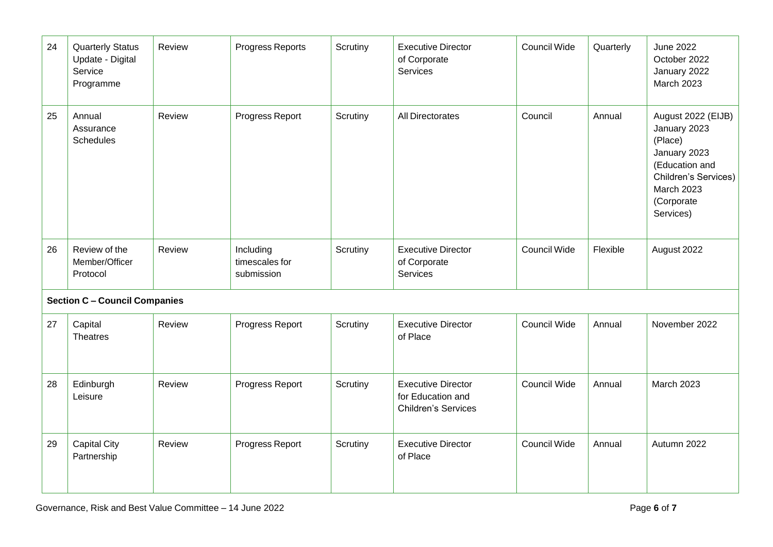| 24 | <b>Quarterly Status</b><br>Update - Digital<br>Service<br>Programme | Review | Progress Reports                          | Scrutiny | <b>Executive Director</b><br>of Corporate<br>Services                        | Council Wide | Quarterly | <b>June 2022</b><br>October 2022<br>January 2022<br><b>March 2023</b>                                                                                   |
|----|---------------------------------------------------------------------|--------|-------------------------------------------|----------|------------------------------------------------------------------------------|--------------|-----------|---------------------------------------------------------------------------------------------------------------------------------------------------------|
| 25 | Annual<br>Assurance<br><b>Schedules</b>                             | Review | Progress Report                           | Scrutiny | All Directorates                                                             | Council      | Annual    | August 2022 (EIJB)<br>January 2023<br>(Place)<br>January 2023<br>(Education and<br>Children's Services)<br><b>March 2023</b><br>(Corporate<br>Services) |
| 26 | Review of the<br>Member/Officer<br>Protocol                         | Review | Including<br>timescales for<br>submission | Scrutiny | <b>Executive Director</b><br>of Corporate<br>Services                        | Council Wide | Flexible  | August 2022                                                                                                                                             |
|    | <b>Section C - Council Companies</b>                                |        |                                           |          |                                                                              |              |           |                                                                                                                                                         |
| 27 | Capital<br><b>Theatres</b>                                          | Review | Progress Report                           | Scrutiny | <b>Executive Director</b><br>of Place                                        | Council Wide | Annual    | November 2022                                                                                                                                           |
| 28 | Edinburgh<br>Leisure                                                | Review | Progress Report                           | Scrutiny | <b>Executive Director</b><br>for Education and<br><b>Children's Services</b> | Council Wide | Annual    | <b>March 2023</b>                                                                                                                                       |
| 29 | <b>Capital City</b><br>Partnership                                  | Review | Progress Report                           | Scrutiny | <b>Executive Director</b><br>of Place                                        | Council Wide | Annual    | Autumn 2022                                                                                                                                             |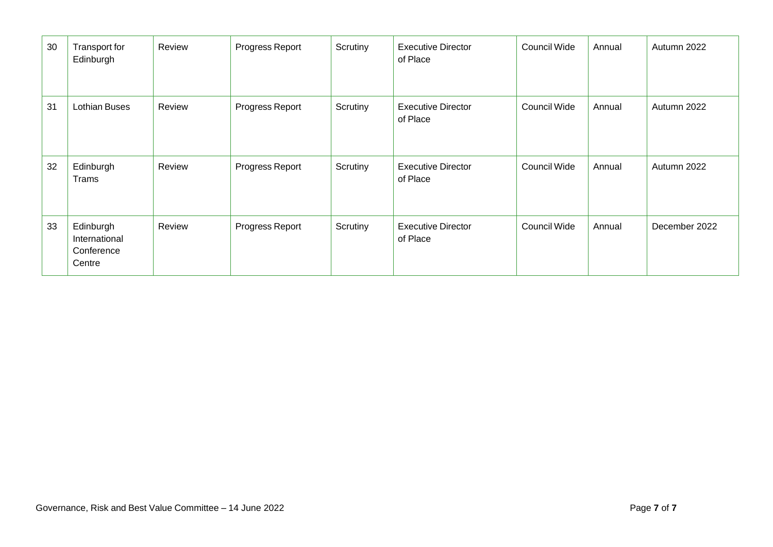| 30 | Transport for<br>Edinburgh                         | Review | Progress Report | Scrutiny | <b>Executive Director</b><br>of Place | <b>Council Wide</b> | Annual | Autumn 2022   |
|----|----------------------------------------------------|--------|-----------------|----------|---------------------------------------|---------------------|--------|---------------|
| 31 | <b>Lothian Buses</b>                               | Review | Progress Report | Scrutiny | <b>Executive Director</b><br>of Place | <b>Council Wide</b> | Annual | Autumn 2022   |
| 32 | Edinburgh<br>Trams                                 | Review | Progress Report | Scrutiny | <b>Executive Director</b><br>of Place | Council Wide        | Annual | Autumn 2022   |
| 33 | Edinburgh<br>International<br>Conference<br>Centre | Review | Progress Report | Scrutiny | <b>Executive Director</b><br>of Place | <b>Council Wide</b> | Annual | December 2022 |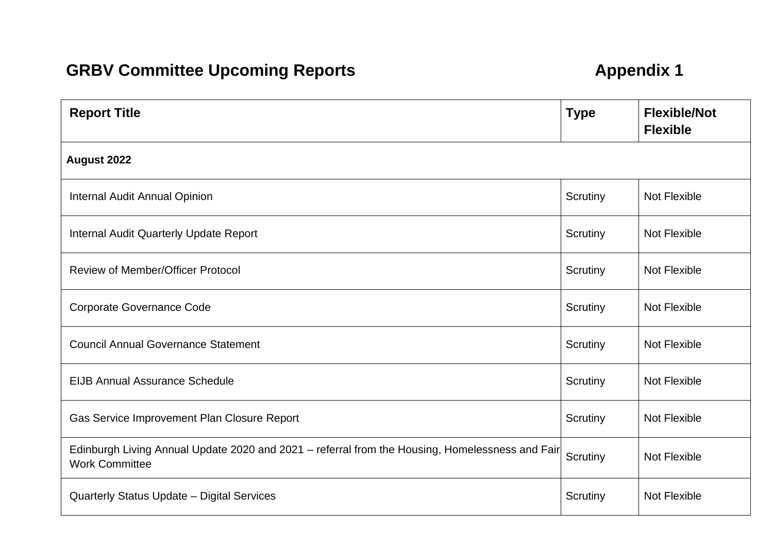## **GRBV Committee Upcoming Reports Appendix 1**

| <b>Report Title</b>                                                                                                      | <b>Type</b> | <b>Flexible/Not</b><br><b>Flexible</b> |  |  |  |  |  |  |  |
|--------------------------------------------------------------------------------------------------------------------------|-------------|----------------------------------------|--|--|--|--|--|--|--|
| August 2022                                                                                                              |             |                                        |  |  |  |  |  |  |  |
| Internal Audit Annual Opinion                                                                                            | Scrutiny    | Not Flexible                           |  |  |  |  |  |  |  |
| <b>Internal Audit Quarterly Update Report</b>                                                                            | Scrutiny    | Not Flexible                           |  |  |  |  |  |  |  |
| <b>Review of Member/Officer Protocol</b>                                                                                 | Scrutiny    | Not Flexible                           |  |  |  |  |  |  |  |
| <b>Corporate Governance Code</b>                                                                                         | Scrutiny    | Not Flexible                           |  |  |  |  |  |  |  |
| <b>Council Annual Governance Statement</b>                                                                               | Scrutiny    | Not Flexible                           |  |  |  |  |  |  |  |
| <b>EIJB Annual Assurance Schedule</b>                                                                                    | Scrutiny    | <b>Not Flexible</b>                    |  |  |  |  |  |  |  |
| Gas Service Improvement Plan Closure Report                                                                              | Scrutiny    | <b>Not Flexible</b>                    |  |  |  |  |  |  |  |
| Edinburgh Living Annual Update 2020 and 2021 - referral from the Housing, Homelessness and Fair<br><b>Work Committee</b> | Scrutiny    | Not Flexible                           |  |  |  |  |  |  |  |
| Quarterly Status Update - Digital Services                                                                               | Scrutiny    | <b>Not Flexible</b>                    |  |  |  |  |  |  |  |